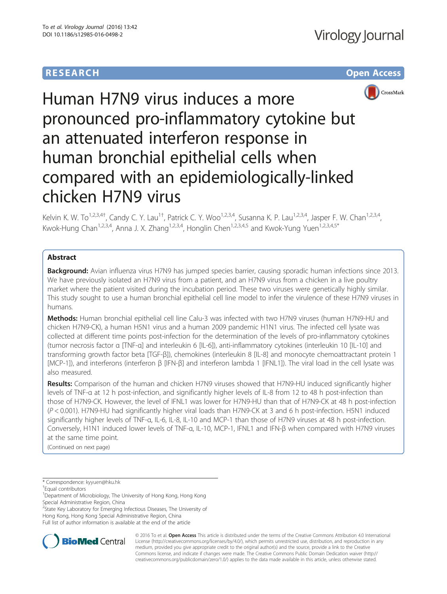# **RESEARCH CHE Open Access**



# Human H7N9 virus induces a more pronounced pro-inflammatory cytokine but an attenuated interferon response in human bronchial epithelial cells when compared with an epidemiologically-linked chicken H7N9 virus

Kelvin K. W. To<sup>1,2,3,4†</sup>, Candy C. Y. Lau<sup>1†</sup>, Patrick C. Y. Woo<sup>1,2,3,4</sup>, Susanna K. P. Lau<sup>1,2,3,4</sup>, Jasper F. W. Chan<sup>1,2,3,4</sup>, Kwok-Hung Chan<sup>1,2,3,4</sup>, Anna J. X. Zhang<sup>1,2,3,4</sup>, Honglin Chen<sup>1,2,3,4,5</sup> and Kwok-Yung Yuen<sup>1,2,3,4,5\*</sup>

## Abstract

Background: Avian influenza virus H7N9 has jumped species barrier, causing sporadic human infections since 2013. We have previously isolated an H7N9 virus from a patient, and an H7N9 virus from a chicken in a live poultry market where the patient visited during the incubation period. These two viruses were genetically highly similar. This study sought to use a human bronchial epithelial cell line model to infer the virulence of these H7N9 viruses in humans.

Methods: Human bronchial epithelial cell line Calu-3 was infected with two H7N9 viruses (human H7N9-HU and chicken H7N9-CK), a human H5N1 virus and a human 2009 pandemic H1N1 virus. The infected cell lysate was collected at different time points post-infection for the determination of the levels of pro-inflammatory cytokines (tumor necrosis factor α [TNF-α] and interleukin 6 [IL-6]), anti-inflammatory cytokines (interleukin 10 [IL-10] and transforming growth factor beta [TGF-β]), chemokines (interleukin 8 [IL-8] and monocyte chemoattractant protein 1 [MCP-1]), and interferons (interferon β [IFN-β] and interferon lambda 1 [IFNL1]). The viral load in the cell lysate was also measured.

Results: Comparison of the human and chicken H7N9 viruses showed that H7N9-HU induced significantly higher levels of TNF-α at 12 h post-infection, and significantly higher levels of IL-8 from 12 to 48 h post-infection than those of H7N9-CK. However, the level of IFNL1 was lower for H7N9-HU than that of H7N9-CK at 48 h post-infection (P < 0.001). H7N9-HU had significantly higher viral loads than H7N9-CK at 3 and 6 h post-infection. H5N1 induced significantly higher levels of TNF-α, IL-6, IL-8, IL-10 and MCP-1 than those of H7N9 viruses at 48 h post-infection. Conversely, H1N1 induced lower levels of TNF-α, IL-10, MCP-1, IFNL1 and IFN-β when compared with H7N9 viruses at the same time point.

(Continued on next page)

<sup>2</sup> State Key Laboratory for Emerging Infectious Diseases, The University of Hong Kong, Hong Kong Special Administrative Region, China

Full list of author information is available at the end of the article



© 2016 To et al. Open Access This article is distributed under the terms of the Creative Commons Attribution 4.0 International License ([http://creativecommons.org/licenses/by/4.0/\)](http://creativecommons.org/licenses/by/4.0/), which permits unrestricted use, distribution, and reproduction in any medium, provided you give appropriate credit to the original author(s) and the source, provide a link to the Creative Commons license, and indicate if changes were made. The Creative Commons Public Domain Dedication waiver ([http://](http://creativecommons.org/publicdomain/zero/1.0/) [creativecommons.org/publicdomain/zero/1.0/\)](http://creativecommons.org/publicdomain/zero/1.0/) applies to the data made available in this article, unless otherwise stated.

<sup>\*</sup> Correspondence: [kyyuen@hku.hk](mailto:kyyuen@hku.hk) †

Equal contributors

<sup>&</sup>lt;sup>1</sup>Department of Microbiology, The University of Hong Kong, Hong Kong Special Administrative Region, China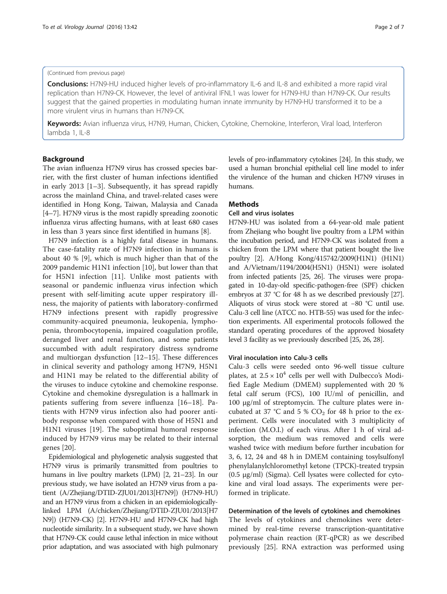#### (Continued from previous page)

**Conclusions:** H7N9-HU induced higher levels of pro-inflammatory IL-6 and IL-8 and exhibited a more rapid viral replication than H7N9-CK. However, the level of antiviral IFNL1 was lower for H7N9-HU than H7N9-CK. Our results suggest that the gained properties in modulating human innate immunity by H7N9-HU transformed it to be a more virulent virus in humans than H7N9-CK.

Keywords: Avian influenza virus, H7N9, Human, Chicken, Cytokine, Chemokine, Interferon, Viral load, Interferon lambda 1, IL-8

#### Background

The avian influenza H7N9 virus has crossed species barrier, with the first cluster of human infections identified in early 2013 [\[1](#page-5-0)–[3\]](#page-5-0). Subsequently, it has spread rapidly across the mainland China, and travel-related cases were identified in Hong Kong, Taiwan, Malaysia and Canada [[4](#page-5-0)–[7\]](#page-5-0). H7N9 virus is the most rapidly spreading zoonotic influenza virus affecting humans, with at least 680 cases in less than 3 years since first identified in humans [[8\]](#page-5-0).

H7N9 infection is a highly fatal disease in humans. The case-fatality rate of H7N9 infection in humans is about 40 % [[9\]](#page-5-0), which is much higher than that of the 2009 pandemic H1N1 infection [[10\]](#page-5-0), but lower than that for H5N1 infection [[11\]](#page-5-0). Unlike most patients with seasonal or pandemic influenza virus infection which present with self-limiting acute upper respiratory illness, the majority of patients with laboratory-confirmed H7N9 infections present with rapidly progressive community-acquired pneumonia, leukopenia, lymphopenia, thrombocytopenia, impaired coagulation profile, deranged liver and renal function, and some patients succumbed with adult respiratory distress syndrome and multiorgan dysfunction [[12](#page-5-0)–[15\]](#page-6-0). These differences in clinical severity and pathology among H7N9, H5N1 and H1N1 may be related to the differential ability of the viruses to induce cytokine and chemokine response. Cytokine and chemokine dysregulation is a hallmark in patients suffering from severe influenza [[16](#page-6-0)–[18](#page-6-0)]. Patients with H7N9 virus infection also had poorer antibody response when compared with those of H5N1 and H1N1 viruses [[19\]](#page-6-0). The suboptimal humoral response induced by H7N9 virus may be related to their internal genes [[20\]](#page-6-0).

Epidemiological and phylogenetic analysis suggested that H7N9 virus is primarily transmitted from poultries to humans in live poultry markets (LPM) [\[2](#page-5-0), [21](#page-6-0)–[23\]](#page-6-0). In our previous study, we have isolated an H7N9 virus from a patient (A/Zhejiang/DTID-ZJU01/2013[H7N9]) (H7N9-HU) and an H7N9 virus from a chicken in an epidemiologicallylinked LPM (A/chicken/Zhejiang/DTID-ZJU01/2013[H7 N9]) (H7N9-CK) [\[2\]](#page-5-0). H7N9-HU and H7N9-CK had high nucleotide similarity. In a subsequent study, we have shown that H7N9-CK could cause lethal infection in mice without prior adaptation, and was associated with high pulmonary levels of pro-inflammatory cytokines [\[24\]](#page-6-0). In this study, we used a human bronchial epithelial cell line model to infer the virulence of the human and chicken H7N9 viruses in humans.

#### **Methods**

#### Cell and virus isolates

H7N9-HU was isolated from a 64-year-old male patient from Zhejiang who bought live poultry from a LPM within the incubation period, and H7N9-CK was isolated from a chicken from the LPM where that patient bought the live poultry [\[2\]](#page-5-0). A/Hong Kong/415742/2009(H1N1) (H1N1) and A/Vietnam/1194/2004(H5N1) (H5N1) were isolated from infected patients [\[25, 26\]](#page-6-0). The viruses were propagated in 10-day-old specific-pathogen-free (SPF) chicken embryos at 37 °C for 48 h as we described previously [\[27](#page-6-0)]. Aliquots of virus stock were stored at −80 °C until use. Calu-3 cell line (ATCC no. HTB-55) was used for the infection experiments. All experimental protocols followed the standard operating procedures of the approved biosafety level 3 facility as we previously described [\[25, 26, 28\]](#page-6-0).

### Viral inoculation into Calu-3 cells

Calu-3 cells were seeded onto 96-well tissue culture plates, at  $2.5 \times 10^4$  cells per well with Dulbecco's Modified Eagle Medium (DMEM) supplemented with 20 % fetal calf serum (FCS), 100 IU/ml of penicillin, and 100 μg/ml of streptomycin. The culture plates were incubated at 37 °C and 5 %  $CO<sub>2</sub>$  for 48 h prior to the experiment. Cells were inoculated with 3 multiplicity of infection (M.O.I.) of each virus. After 1 h of viral adsorption, the medium was removed and cells were washed twice with medium before further incubation for 3, 6, 12, 24 and 48 h in DMEM containing tosylsulfonyl phenylalanylchloromethyl ketone (TPCK)-treated trypsin (0.5 μg/ml) (Sigma). Cell lysates were collected for cytokine and viral load assays. The experiments were performed in triplicate.

#### Determination of the levels of cytokines and chemokines

The levels of cytokines and chemokines were determined by real-time reverse transcription-quantitative polymerase chain reaction (RT-qPCR) as we described previously [[25\]](#page-6-0). RNA extraction was performed using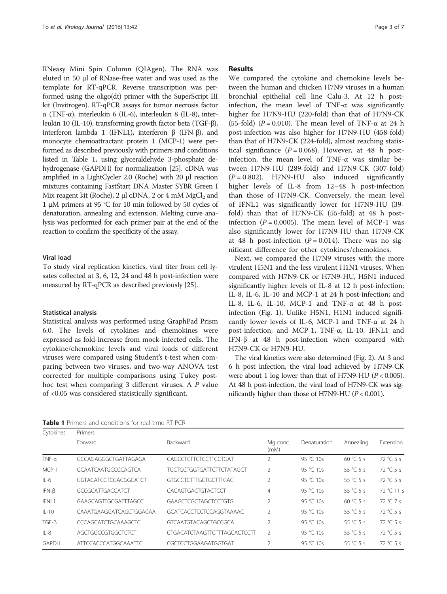RNeasy Mini Spin Column (QIAgen). The RNA was eluted in 50 μl of RNase-free water and was used as the template for RT-qPCR. Reverse transcription was performed using the oligo(dt) primer with the SuperScript III kit (Invitrogen). RT-qPCR assays for tumor necrosis factor α (TNF-α), interleukin 6 (IL-6), interleukin 8 (IL-8), interleukin 10 (IL-10), transforming growth factor beta (TGF-β), interferon lambda 1 (IFNL1), interferon β (IFN-β), and monocyte chemoattractant protein 1 (MCP-1) were performed as described previously with primers and conditions listed in Table 1, using glyceraldehyde 3-phosphate dehydrogenase (GAPDH) for normalization [[25](#page-6-0)]. cDNA was amplified in a LightCycler 2.0 (Roche) with 20 μl reaction mixtures containing FastStart DNA Master SYBR Green I Mix reagent kit (Roche), 2  $\mu$ l cDNA, 2 or 4 mM MgCl<sub>2</sub> and 1 μM primers at 95 °C for 10 min followed by 50 cycles of denaturation, annealing and extension. Melting curve analysis was performed for each primer pair at the end of the reaction to confirm the specificity of the assay.

#### Viral load

To study viral replication kinetics, viral titer from cell lysates collected at 3, 6, 12, 24 and 48 h post-infection were measured by RT-qPCR as described previously [[25\]](#page-6-0).

#### Statistical analysis

Statistical analysis was performed using GraphPad Prism 6.0. The levels of cytokines and chemokines were expressed as fold-increase from mock-infected cells. The cytokine/chemokine levels and viral loads of different viruses were compared using Student's t-test when comparing between two viruses, and two-way ANOVA test corrected for multiple comparisons using Tukey posthoc test when comparing 3 different viruses. A P value of <0.05 was considered statistically significant.

#### Results

We compared the cytokine and chemokine levels between the human and chicken H7N9 viruses in a human bronchial epithelial cell line Calu-3. At 12 h postinfection, the mean level of  $TNF-\alpha$  was significantly higher for H7N9-HU (220-fold) than that of H7N9-CK (55-fold) ( $P = 0.010$ ). The mean level of TNF- $\alpha$  at 24 h post-infection was also higher for H7N9-HU (458-fold) than that of H7N9-CK (224-fold), almost reaching statistical significance  $(P = 0.068)$ . However, at 48 h postinfection, the mean level of TNF-α was similar between H7N9-HU (289-fold) and H7N9-CK (307-fold)  $(P = 0.802)$ . H7N9-HU also induced significantly higher levels of IL-8 from 12–48 h post-infection than those of H7N9-CK. Conversely, the mean level of IFNL1 was significantly lower for H7N9-HU (39 fold) than that of H7N9-CK (55-fold) at 48 h postinfection ( $P = 0.0005$ ). The mean level of MCP-1 was also significantly lower for H7N9-HU than H7N9-CK at 48 h post-infection  $(P = 0.014)$ . There was no significant difference for other cytokines/chemokines.

Next, we compared the H7N9 viruses with the more virulent H5N1 and the less virulent H1N1 viruses. When compared with H7N9-CK or H7N9-HU, H5N1 induced significantly higher levels of IL-8 at 12 h post-infection; IL-8, IL-6, IL-10 and MCP-1 at 24 h post-infection; and IL-8, IL-6, IL-10, MCP-1 and TNF-α at 48 h postinfection (Fig. [1](#page-3-0)). Unlike H5N1, H1N1 induced significantly lower levels of IL-6, MCP-1 and TNF-α at 24 h post-infection; and MCP-1, TNF-α, IL-10, IFNL1 and IFN-β at 48 h post-infection when compared with H7N9-CK or H7N9-HU.

The viral kinetics were also determined (Fig. [2\)](#page-4-0). At 3 and 6 h post infection, the viral load achieved by H7N9-CK were about 1 log lower than that of H7N9-HU ( $P < 0.005$ ). At 48 h post-infection, the viral load of H7N9-CK was significantly higher than those of H7N9-HU ( $P < 0.001$ ).

Table 1 Primers and conditions for real-time RT-PCR

| Cytokines         | Primers                     |                                     |                  |              |           |            |
|-------------------|-----------------------------|-------------------------------------|------------------|--------------|-----------|------------|
|                   | Forward                     | <b>Backward</b>                     | Mg conc.<br>(mM) | Denaturation | Annealing | Extension  |
| $TNF-a$           | GCCAGAGGGCTGATTAGAGA        | CAGCCTCTTCTCCTTCCTGAT               | $\mathfrak{D}$   | 95 °C 10s    | 60 °C.5 s | 72 °C.5 s  |
| MCP-1             | <b>GCAATCAATGCCCCAGTCA</b>  | <b>TGCTGCTGGTGATTCTTCTATAGCT</b>    | $\mathcal{P}$    | 95 °C 10s    | 55 °C 5 s | 72 °C 5 s  |
| $IL-6$            | GGTACATCCTCGACGGCATCT       | GTGCCTCTTTGCTGCTTTCAC               | 2                | 95 °C 10s    | 55 °C 5 s | 72 °C.5 s  |
| IFN- $\beta$      | <b>GCCGCATTGACCATCT</b>     | CACAGTGACTGTACTCCT                  | $\overline{4}$   | 95 °C 10s    | 55 °C 5 s | 72 °C 11 s |
| IFNI <sub>1</sub> | GAAGCAGTTGCGATTTAGCC        | <b>GAAGCTCGCTAGCTCCTGTG</b>         | $\mathcal{P}$    | 95 °C 10s    | 60 °C.5 s | 72 °C 7 s  |
| $IL-10$           | CAAATGAAGGATCAGCTGGACAA     | GCATCACCTCCTCCAGGTAAAAC             | $\mathcal{P}$    | 95 °C 10s    | 55 °C 5 s | 72 °C.5 s  |
| $TGF-B$           | <b>CCCAGCATCTGCAAAGCTC</b>  | GTCAATGTACAGCTGCCGCA                | $\mathfrak{D}$   | 95 °C 10s    | 55 °C 5 s | 72 °C.5 s  |
| $IL-8$            | AGCTGGCCGTGGCTCTCT          | <b>CTGACATCTAAGTTCTTTAGCACTCCTT</b> | $\mathcal{L}$    | 95 °C 10s    | 55 °C 5 s | 72 °C.5 s  |
| GAPDH             | <b>ATTCCACCCATGGCAAATTC</b> | CGCTCCTGGAAGATGGTGAT                |                  | 95 °C 10s    | 55 °C 5 s | 72 °C.5 s  |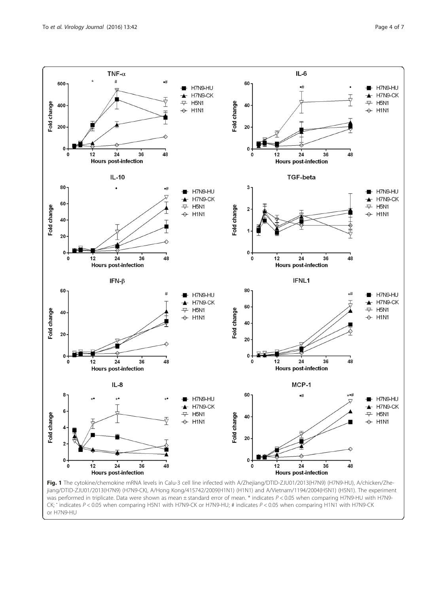<span id="page-3-0"></span>

jiang/DTID-ZJU01/2013(H7N9) (H7N9-CK), A/Hong Kong/415742/2009(H1N1) (H1N1) and A/Vietnam/1194/2004(H5N1) (H5N1). The experiment was performed in triplicate. Data were shown as mean ± standard error of mean. \* indicates P < 0.05 when comparing H7N9-HU with H7N9-CK; • indicates P < 0.05 when comparing H5N1 with H7N9-CK or H7N9-HU; # indicates P < 0.05 when comparing H1N1 with H7N9-CK or H7N9-HU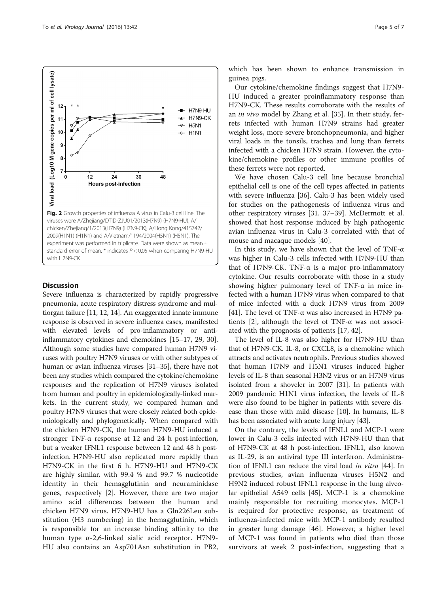#### **Discussion**

Severe influenza is characterized by rapidly progressive pneumonia, acute respiratory distress syndrome and multiorgan failure [[11](#page-5-0), [12,](#page-5-0) [14\]](#page-6-0). An exaggerated innate immune response is observed in severe influenza cases, manifested with elevated levels of pro-inflammatory or antiinflammatory cytokines and chemokines [\[15](#page-6-0)–[17](#page-6-0), [29, 30](#page-6-0)]. Although some studies have compared human H7N9 viruses with poultry H7N9 viruses or with other subtypes of human or avian influenza viruses [\[31](#page-6-0)–[35](#page-6-0)], there have not been any studies which compared the cytokine/chemokine responses and the replication of H7N9 viruses isolated from human and poultry in epidemiologically-linked markets. In the current study, we compared human and poultry H7N9 viruses that were closely related both epidemiologically and phylogenetically. When compared with the chicken H7N9-CK, the human H7N9-HU induced a stronger TNF- $\alpha$  response at 12 and 24 h post-infection, but a weaker IFNL1 response between 12 and 48 h postinfection. H7N9-HU also replicated more rapidly than H7N9-CK in the first 6 h. H7N9-HU and H7N9-CK are highly similar, with 99.4 % and 99.7 % nucleotide identity in their hemagglutinin and neuraminidase genes, respectively [[2\]](#page-5-0). However, there are two major amino acid differences between the human and chicken H7N9 virus. H7N9-HU has a Gln226Leu substitution (H3 numbering) in the hemagglutinin, which is responsible for an increase binding affinity to the human type α-2,6-linked sialic acid receptor. H7N9- HU also contains an Asp701Asn substitution in PB2, which has been shown to enhance transmission in guinea pigs.

Our cytokine/chemokine findings suggest that H7N9- HU induced a greater proinflammatory response than H7N9-CK. These results corroborate with the results of an in vivo model by Zhang et al. [[35\]](#page-6-0). In their study, ferrets infected with human H7N9 strains had greater weight loss, more severe bronchopneumonia, and higher viral loads in the tonsils, trachea and lung than ferrets infected with a chicken H7N9 strain. However, the cytokine/chemokine profiles or other immune profiles of these ferrets were not reported.

We have chosen Calu-3 cell line because bronchial epithelial cell is one of the cell types affected in patients with severe influenza [[36](#page-6-0)]. Calu-3 has been widely used for studies on the pathogenesis of influenza virus and other respiratory viruses [\[31, 37](#page-6-0)–[39\]](#page-6-0). McDermott et al. showed that host response induced by high pathogenic avian influenza virus in Calu-3 correlated with that of mouse and macaque models [\[40\]](#page-6-0).

In this study, we have shown that the level of TNF- $\alpha$ was higher in Calu-3 cells infected with H7N9-HU than that of H7N9-CK. TNF- $α$  is a major pro-inflammatory cytokine. Our results corroborate with those in a study showing higher pulmonary level of TNF- $\alpha$  in mice infected with a human H7N9 virus when compared to that of mice infected with a duck H7N9 virus from 2009 [[41\]](#page-6-0). The level of TNF- $\alpha$  was also increased in H7N9 patients [[2\]](#page-5-0), although the level of TNF-α was not associated with the prognosis of patients [\[17, 42\]](#page-6-0).

The level of IL-8 was also higher for H7N9-HU than that of H7N9-CK. IL-8, or CXCL8, is a chemokine which attracts and activates neutrophils. Previous studies showed that human H7N9 and H5N1 viruses induced higher levels of IL-8 than seasonal H3N2 virus or an H7N9 virus isolated from a shoveler in 2007 [[31](#page-6-0)]. In patients with 2009 pandemic H1N1 virus infection, the levels of IL-8 were also found to be higher in patients with severe disease than those with mild disease [[10\]](#page-5-0). In humans, IL-8 has been associated with acute lung injury [[43](#page-6-0)].

On the contrary, the levels of IFNL1 and MCP-1 were lower in Calu-3 cells infected with H7N9-HU than that of H7N9-CK at 48 h post-infection. IFNL1, also known as IL-29, is an antiviral type III interferon. Administration of IFNL1 can reduce the viral load in vitro [\[44\]](#page-6-0). In previous studies, avian influenza viruses H5N2 and H9N2 induced robust IFNL1 response in the lung alveolar epithelial A549 cells [\[45](#page-6-0)]. MCP-1 is a chemokine mainly responsible for recruiting monocytes. MCP-1 is required for protective response, as treatment of influenza-infected mice with MCP-1 antibody resulted in greater lung damage [[46\]](#page-6-0). However, a higher level of MCP-1 was found in patients who died than those survivors at week 2 post-infection, suggesting that a

<span id="page-4-0"></span>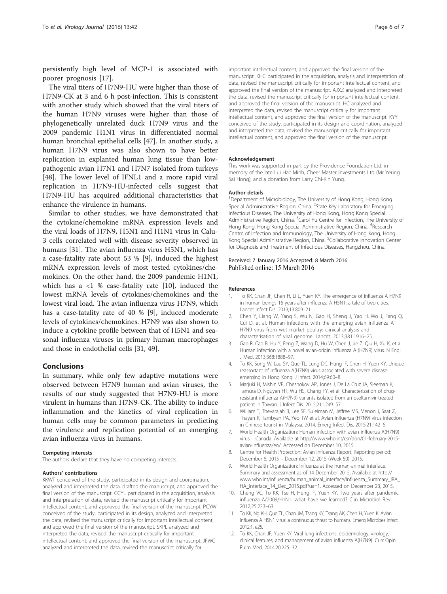<span id="page-5-0"></span>persistently high level of MCP-1 is associated with poorer prognosis [[17\]](#page-6-0).

The viral titers of H7N9-HU were higher than those of H7N9-CK at 3 and 6 h post-infection. This is consistent with another study which showed that the viral titers of the human H7N9 viruses were higher than those of phylogenetically unrelated duck H7N9 virus and the 2009 pandemic H1N1 virus in differentiated normal human bronchial epithelial cells [\[47](#page-6-0)]. In another study, a human H7N9 virus was also shown to have better replication in explanted human lung tissue than lowpathogenic avian H7N1 and H7N7 isolated from turkeys [[48\]](#page-6-0). The lower level of IFNL1 and a more rapid viral replication in H7N9-HU-infected cells suggest that H7N9-HU has acquired additional characteristics that enhance the virulence in humans.

Similar to other studies, we have demonstrated that the cytokine/chemokine mRNA expression levels and the viral loads of H7N9, H5N1 and H1N1 virus in Calu-3 cells correlated well with disease severity observed in humans [\[31](#page-6-0)]. The avian influenza virus H5N1, which has a case-fatality rate about 53 % [9], induced the highest mRNA expression levels of most tested cytokines/chemokines. On the other hand, the 2009 pandemic H1N1, which has a  $\langle 1 \rangle$  % case-fatality rate [10], induced the lowest mRNA levels of cytokines/chemokines and the lowest viral load. The avian influenza virus H7N9, which has a case-fatality rate of 40 % [9], induced moderate levels of cytokines/chemokines. H7N9 was also shown to induce a cytokine profile between that of H5N1 and seasonal influenza viruses in primary human macrophages and those in endothelial cells [\[31, 49\]](#page-6-0).

#### **Conclusions**

In summary, while only few adaptive mutations were observed between H7N9 human and avian viruses, the results of our study suggested that H7N9-HU is more virulent in humans than H7N9-CK. The ability to induce inflammation and the kinetics of viral replication in human cells may be common parameters in predicting the virulence and replication potential of an emerging avian influenza virus in humans.

#### Competing interests

The authors declare that they have no competing interests.

#### Authors' contributions

KKWT conceived of the study, participated in its design and coordination, analyzed and interpreted the data, drafted the manuscript, and approved the final version of the manuscript. CCYL participated in the acquisition, analysis and interpretation of data, revised the manuscript critically for important intellectual content, and approved the final version of the manuscript. PCYW conceived of the study, participated in its design, analyzed and interpreted the data, revised the manuscript critically for important intellectual content, and approved the final version of the manuscript. SKPL analyzed and interpreted the data, revised the manuscript critically for important intellectual content, and approved the final version of the manuscript. JFWC analyzed and interpreted the data, revised the manuscript critically for

important intellectual content, and approved the final version of the manuscript. KHC participated in the acquisition, analysis and interpretation of data, revised the manuscript critically for important intellectual content, and approved the final version of the manuscript. AJXZ analyzed and interpreted the data, revised the manuscript critically for important intellectual content, and approved the final version of the manuscript. HC analyzed and interpreted the data, revised the manuscript critically for important intellectual content, and approved the final version of the manuscript. KYY conceived of the study, participated in its design and coordination, analyzed and interpreted the data, revised the manuscript critically for important intellectual content, and approved the final version of the manuscript.

#### Acknowledgement

This work was supported in part by the Providence Foundation Ltd, in memory of the late Lui Hac Minh, Cheer Master Investments Ltd (Mr Yeung Sai Hong), and a donation from Larry Chi-Kin Yung.

#### Author details

<sup>1</sup>Department of Microbiology, The University of Hong Kong, Hong Kong Special Administrative Region, China. <sup>2</sup>State Key Laboratory for Emerging Infectious Diseases, The University of Hong Kong, Hong Kong Special Administrative Region, China. <sup>3</sup>Carol Yu Centre for Infection, The University of Hong Kong, Hong Kong Special Administrative Region, China. <sup>4</sup>Research Centre of Infection and Immunology, The University of Hong Kong, Hong Kong Special Administrative Region, China. <sup>5</sup>Collaborative Innovation Center for Diagnosis and Treatment of Infectious Diseases, Hangzhou, China.

#### Received: 7 January 2016 Accepted: 8 March 2016 Published online: 15 March 2016

#### References

- 1. To KK, Chan JF, Chen H, Li L, Yuen KY. The emergence of influenza A H7N9 in human beings 16 years after influenza A H5N1: a tale of two cities. Lancet Infect Dis. 2013;13:809–21.
- 2. Chen Y, Liang W, Yang S, Wu N, Gao H, Sheng J, Yao H, Wo J, Fang Q, Cui D, et al. Human infections with the emerging avian influenza A H7N9 virus from wet market poultry: clinical analysis and characterisation of viral genome. Lancet. 2013;381:1916–25.
- 3. Gao R, Cao B, Hu Y, Feng Z, Wang D, Hu W, Chen J, Jie Z, Qiu H, Xu K, et al. Human infection with a novel avian-origin influenza A (H7N9) virus. N Engl J Med. 2013;368:1888–97.
- 4. To KK, Song W, Lau SY, Que TL, Lung DC, Hung IF, Chen H, Yuen KY. Unique reassortant of influenza A(H7N9) virus associated with severe disease emerging in Hong Kong. J Infect. 2014;69:60–8.
- 5. Marjuki H, Mishin VP, Chesnokov AP, Jones J, De La Cruz JA, Sleeman K, Tamura D, Nguyen HT, Wu HS, Chang FY, et al. Characterization of drugresistant influenza A(H7N9) variants isolated from an oseltamivir-treated patient in Taiwan. J Infect Dis. 2015;211:249–57.
- 6. William T, Thevarajah B, Lee SF, Suleiman M, Jeffree MS, Menon J, Saat Z, Thayan R, Tambyah PA, Yeo TW et al. Avian influenza (H7N9) virus infection in Chinese tourist in Malaysia, 2014. Emerg Infect Dis. 2015;21:142–5.
- 7. World Health Organization: Human infection with avian influenza A(H7N9) virus – Canada. Available at [http://www.who.int/csr/don/01-february-2015](http://www.who.int/csr/don/01-february-2015-avian-influenza/en/) [avian-influenza/en/](http://www.who.int/csr/don/01-february-2015-avian-influenza/en/). Accessed on December 10, 2015.
- 8. Centre for Health Protection: Avian Influenza Report. Reporting period: December 6, 2015 – December 12, 2015 (Week 50). 2015.
- 9. World Health Organization: Influenza at the human-animal interface. Summary and assessment as of 14 December 2015. Available at [http://](http://www.who.int/influenza/human_animal_interface/Influenza_Summary_IRA_HA_interface_14_Dec_2015.pdf?ua=1) [www.who.int/influenza/human\\_animal\\_interface/Influenza\\_Summary\\_IRA\\_](http://www.who.int/influenza/human_animal_interface/Influenza_Summary_IRA_HA_interface_14_Dec_2015.pdf?ua=1) [HA\\_interface\\_14\\_Dec\\_2015.pdf?ua=1.](http://www.who.int/influenza/human_animal_interface/Influenza_Summary_IRA_HA_interface_14_Dec_2015.pdf?ua=1) Accessed on December 23, 2015.
- 10. Cheng VC, To KK, Tse H, Hung IF, Yuen KY. Two years after pandemic influenza A/2009/H1N1: what have we learned? Clin Microbiol Rev. 2012;25:223–63.
- 11. To KK, Ng KH, Que TL, Chan JM, Tsang KY, Tsang AK, Chen H, Yuen K. Avian influenza A H5N1 virus: a continuous threat to humans. Emerg Microbes Infect. 2012;1, e25.
- 12. To KK, Chan JF, Yuen KY. Viral lung infections: epidemiology, virology, clinical features, and management of avian influenza A(H7N9). Curr Opin Pulm Med. 2014;20:225–32.